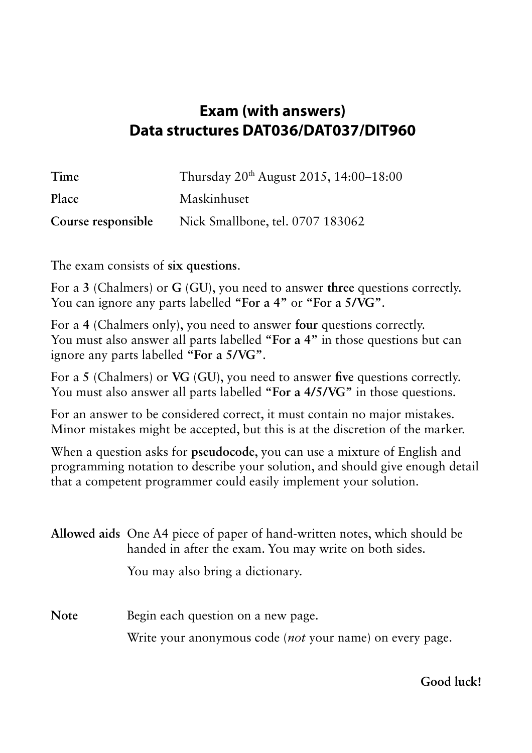## **Exam (with answers) Data structures DAT036/DAT037/DIT960**

| Time               | Thursday 20 <sup>th</sup> August 2015, 14:00–18:00 |
|--------------------|----------------------------------------------------|
| Place              | Maskinhuset                                        |
| Course responsible | Nick Smallbone, tel. 0707 183062                   |

The exam consists of **six questions**.

For a **3** (Chalmers) or **G** (GU), you need to answer **three** questions correctly. You can ignore any parts labelled **"For a 4"** or **"For a 5/VG"**.

For a **4** (Chalmers only), you need to answer **four** questions correctly. You must also answer all parts labelled **"For a 4"** in those questions but can ignore any parts labelled **"For a 5/VG"**.

For a **5** (Chalmers) or **VG** (GU), you need to answer **five** questions correctly. You must also answer all parts labelled **"For a 4/5/VG"** in those questions.

For an answer to be considered correct, it must contain no major mistakes. Minor mistakes might be accepted, but this is at the discretion of the marker.

When a question asks for **pseudocode**, you can use a mixture of English and programming notation to describe your solution, and should give enough detail that a competent programmer could easily implement your solution.

|             | Allowed aids One A4 piece of paper of hand-written notes, which should be<br>handed in after the exam. You may write on both sides. |  |  |  |  |  |
|-------------|-------------------------------------------------------------------------------------------------------------------------------------|--|--|--|--|--|
|             | You may also bring a dictionary.                                                                                                    |  |  |  |  |  |
| <b>Note</b> | Begin each question on a new page.                                                                                                  |  |  |  |  |  |
|             | Write your anonymous code (not your name) on every page.                                                                            |  |  |  |  |  |

**Good luck!**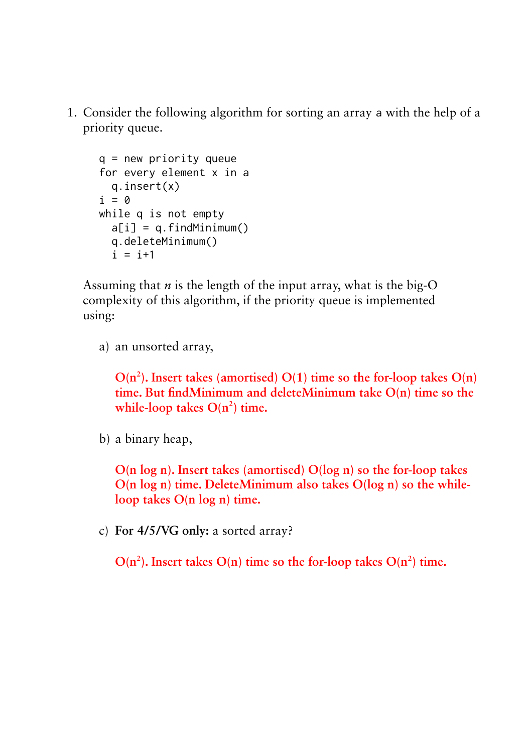1. Consider the following algorithm for sorting an array a with the help of a priority queue.

```
q = new priority queue
for every element x in a
   q.insert(x)
i = 0while q is not empty
  a[i] = q.findMinimum()
   q.deleteMinimum()
  i = i+1
```
Assuming that  $n$  is the length of the input array, what is the big-O complexity of this algorithm, if the priority queue is implemented using:

a) an unsorted array,

 $O(n^2)$ . Insert takes (amortised)  $O(1)$  time so the for-loop takes  $O(n)$ **time. But findMinimum and deleteMinimum take O(n) time so the while-loop takes**  $O(n^2)$  **time.** 

b) a binary heap,

**O(n log n). Insert takes (amortised) O(log n) so the for-loop takes O(n log n) time. DeleteMinimum also takes O(log n) so the whileloop takes O(n log n) time.**

c) **For 4/5/VG only:** a sorted array?

 $O(n^2)$ . Insert takes  $O(n)$  time so the for-loop takes  $O(n^2)$  time.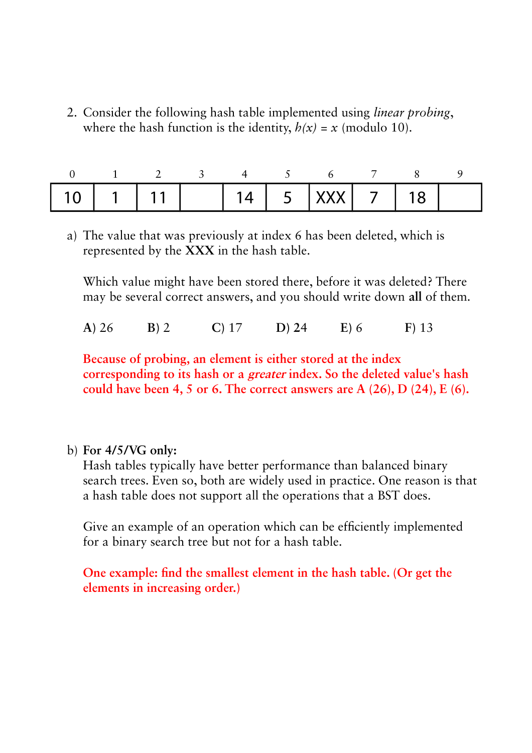2. Consider the following hash table implemented using *linear probing*, where the hash function is the identity,  $h(x) = x$  (modulo 10).

| 10   1   11         14   5   XXX     7   18 . |  |  |  |  |  |
|-----------------------------------------------|--|--|--|--|--|

a) The value that was previously at index 6 has been deleted, which is represented by the **XXX** in the hash table.

Which value might have been stored there, before it was deleted? There may be several correct answers, and you should write down **all** of them.

**A)** 26 **B)** 2 **C)** 17 **D) 2**4 **E)** 6 **F)** 13

**Because of probing, an element is either stored at the index corresponding to its hash or a greater index. So the deleted value's hash could have been 4, 5 or 6. The correct answers are A (26), D (24), E (6).**

b) **For 4/5/VG only:**

Hash tables typically have better performance than balanced binary search trees. Even so, both are widely used in practice. One reason is that a hash table does not support all the operations that a BST does.

Give an example of an operation which can be efficiently implemented for a binary search tree but not for a hash table.

**One example: find the smallest element in the hash table. (Or get the elements in increasing order.)**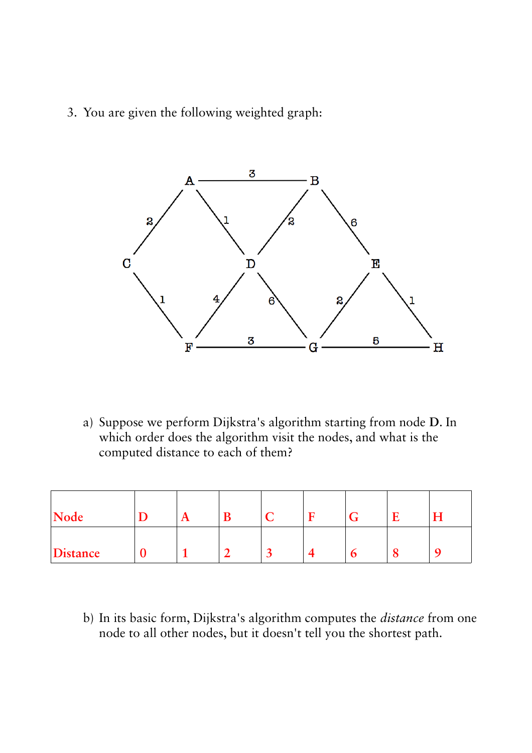3. You are given the following weighted graph:



a) Suppose we perform Dijkstra's algorithm starting from node **D**. In which order does the algorithm visit the nodes, and what is the computed distance to each of them?

| Node     | $\mathbf{A}$ |  |  | □ | Η |
|----------|--------------|--|--|---|---|
| Distance |              |  |  |   |   |

b) In its basic form, Dijkstra's algorithm computes the *distance* from one node to all other nodes, but it doesn't tell you the shortest path.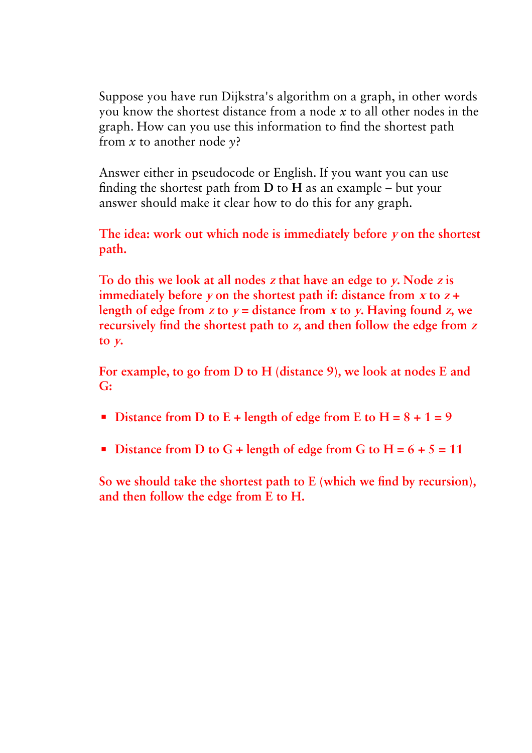Suppose you have run Dijkstra's algorithm on a graph, in other words you know the shortest distance from a node *x* to all other nodes in the graph. How can you use this information to find the shortest path from *x* to another node *y*?

Answer either in pseudocode or English. If you want you can use finding the shortest path from **D** to **H** as an example – but your answer should make it clear how to do this for any graph.

**The idea: work out which node is immediately before y on the shortest path.**

**To do this we look at all nodes z that have an edge to y. Node z is immediately before**  $\bf{v}$  on the shortest path if: distance from  $\bf{x}$  to  $\bf{z}$  + length of edge from  $z$  to  $y =$  distance from  $x$  to  $y$ . Having found  $z$ , we **recursively find the shortest path to z, and then follow the edge from <sup>z</sup> to y.**

**For example, to go from D to H (distance 9), we look at nodes E and G:**

- **EXECUTE:** Distance from D to E + length of edge from E to H =  $8 + 1 = 9$
- **•** Distance from D to G + length of edge from G to  $H = 6 + 5 = 11$

**So we should take the shortest path to E (which we find by recursion), and then follow the edge from E to H.**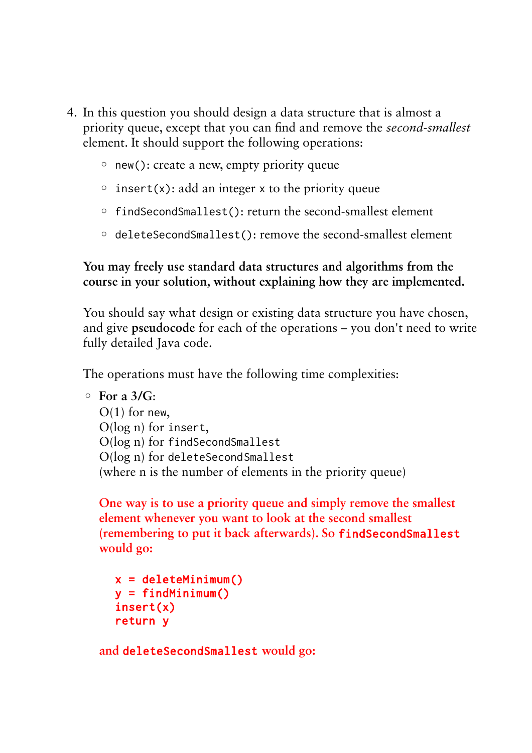- 4. In this question you should design a data structure that is almost a priority queue, except that you can find and remove the *second-smallest* element. It should support the following operations:
	- new(): create a new, empty priority queue
	- $\circ$  insert(x): add an integer x to the priority queue
	- findSecondSmallest(): return the second-smallest element
	- deleteSecondSmallest(): remove the second-smallest element

## **You may freely use standard data structures and algorithms from the course in your solution, without explaining how they are implemented.**

You should say what design or existing data structure you have chosen, and give **pseudocode** for each of the operations – you don't need to write fully detailed Java code.

The operations must have the following time complexities:

```
◦ For a 3/G:
```
 $O(1)$  for new, O(log n) for insert, O(log n) for findSecondSmallest O(log n) for deleteSecondSmallest (where n is the number of elements in the priority queue)

**One way is to use a priority queue and simply remove the smallest element whenever you want to look at the second smallest (remembering to put it back afterwards). So** findSecondSmallest **would go:**

 $x =$  deleteMinimum()  $v = findMinimum()$ insert(x) return y

**and** deleteSecondSmallest **would go:**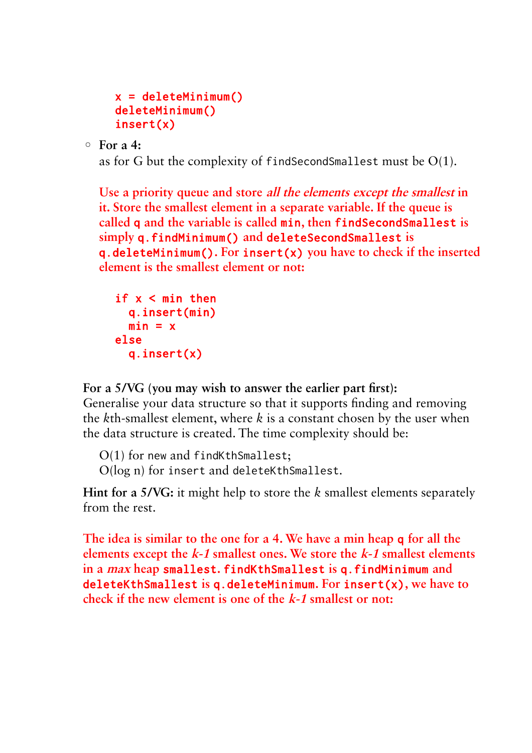```
x = deleteMinimum()
deleteMinimum()
insert(x)
```
◦ **For a 4:**

as for G but the complexity of findSecondSmallest must be O(1).

**Use a priority queue and store all the elements except the smallest in it. Store the smallest element in a separate variable. If the queue is called** q **and the variable is called** min**, then** findSecondSmallest **is simply** q.findMinimum() **and** deleteSecondSmallest **is**  q.deleteMinimum()**. For** insert(x) **you have to check if the inserted element is the smallest element or not:**

```
if x < min then
   q.insert(min)
  min = xelse
   q.insert(x)
```
**For a 5/VG (you may wish to answer the earlier part first):**

Generalise your data structure so that it supports finding and removing the *k*th-smallest element, where *k* is a constant chosen by the user when the data structure is created. The time complexity should be:

O(1) for new and findKthSmallest; O(log n) for insert and deleteKthSmallest.

**Hint for a 5/VG:** it might help to store the *k* smallest elements separately from the rest.

**The idea is similar to the one for a 4. We have a min heap** q **for all the elements except the k-1 smallest ones. We store the k-1 smallest elements in a max heap** smallest**.** findKthSmallest **is** q.findMinimum **and**  deleteKthSmallest **is** q.deleteMinimum**. For** insert(x)**, we have to check if the new element is one of the k-1 smallest or not:**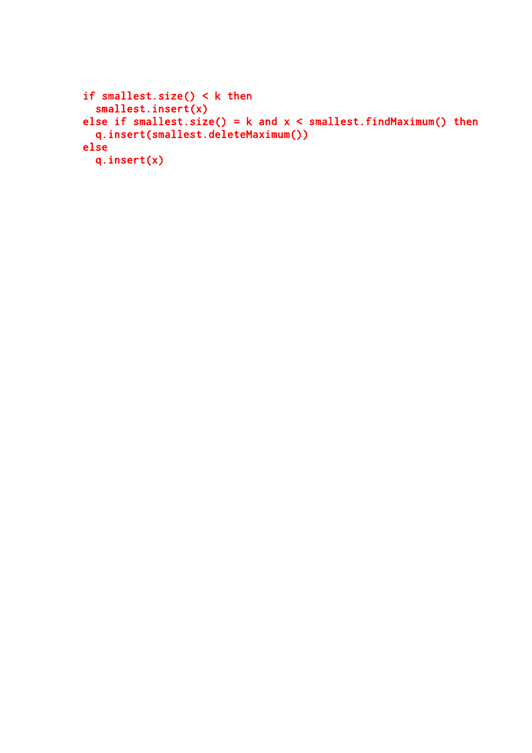```
if smallest.size() < k then
 smallest.insert(x)
else if smallest.size() = k and x < smallest.findMaximum() then
 q.insert(smallest.deleteMaximum())
else
  q.insert(x)
```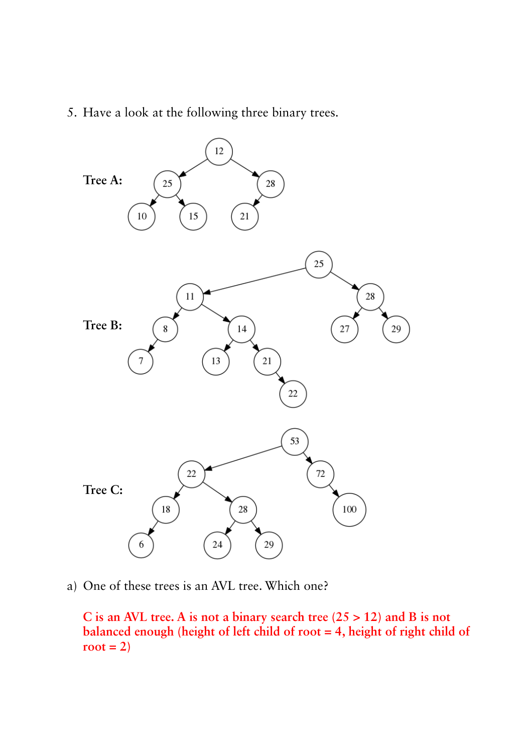5. Have a look at the following three binary trees.



a) One of these trees is an AVL tree. Which one?

**C is an AVL tree. A is not a binary search tree (25 > 12) and B is not balanced enough (height of left child of root = 4, height of right child of**   $root = 2)$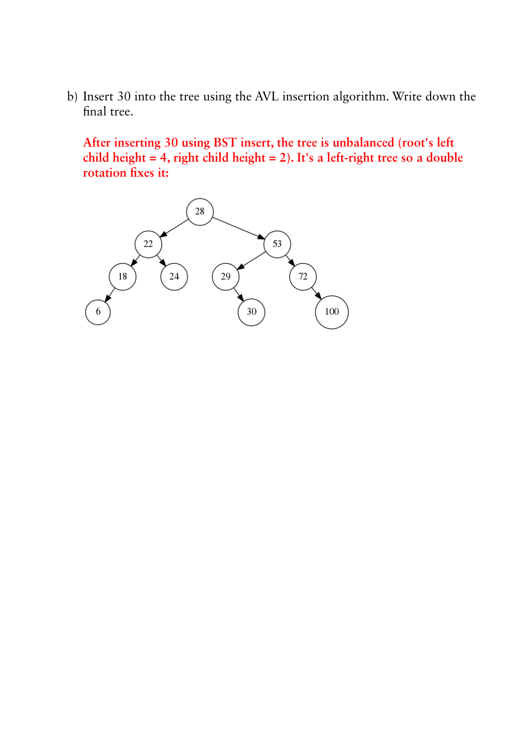b) Insert 30 into the tree using the AVL insertion algorithm. Write down the final tree.

**After inserting 30 using BST insert, the tree is unbalanced (root's left child height = 4, right child height = 2). It's a left-right tree so a double rotation fixes it:**